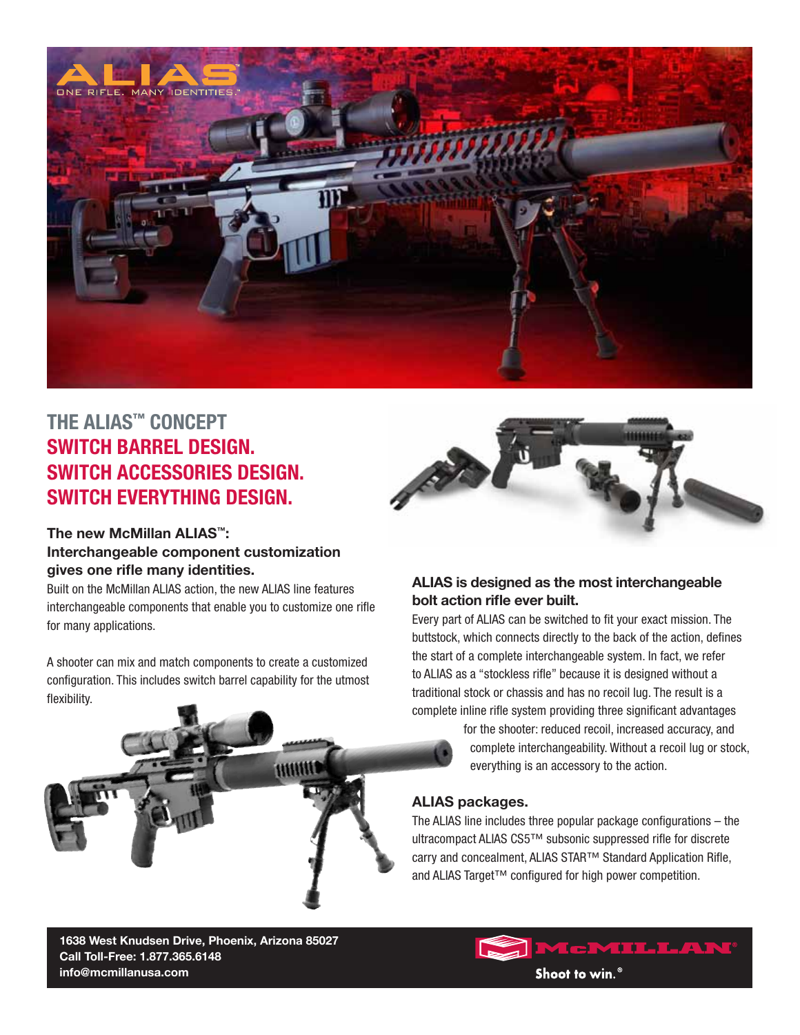

## **THE ALIAS™ CONCEPT Switch Barrel Design. Switch Accessories Design. Switch Everything Design.**

## **The new McMillan ALIAS™: Interchangeable component customization gives one rifle many identities.**

Built on the McMillan ALIAS action, the new ALIAS line features interchangeable components that enable you to customize one rifle for many applications.

A shooter can mix and match components to create a customized configuration. This includes switch barrel capability for the utmost flexibility.

ww



## **ALIAS is designed as the most interchangeable bolt action rifle ever built.**

Every part of ALIAS can be switched to fit your exact mission. The buttstock, which connects directly to the back of the action, defines the start of a complete interchangeable system. In fact, we refer to ALIAS as a "stockless rifle" because it is designed without a traditional stock or chassis and has no recoil lug. The result is a complete inline rifle system providing three significant advantages

> for the shooter: reduced recoil, increased accuracy, and complete interchangeability. Without a recoil lug or stock, everything is an accessory to the action.

#### **ALIAS packages.**

The ALIAS line includes three popular package configurations – the ultracompact ALIAS CS5™ subsonic suppressed rifle for discrete carry and concealment, ALIAS STAR™ Standard Application Rifle, and ALIAS Target™ configured for high power competition.

**1638 West Knudsen Drive, Phoenix, Arizona 85027 Call Toll-Free: 1.877.365.6148 info@mcmillanusa.com**

# McMillan®

Shoot to win.<sup>®</sup>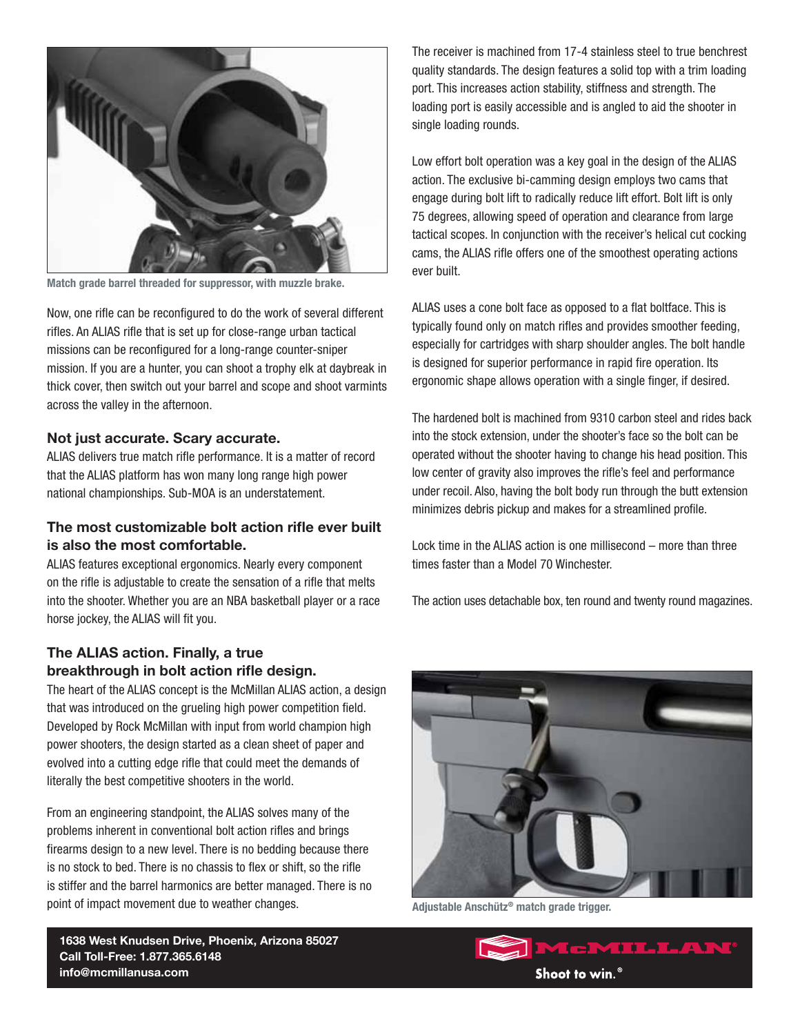

**Match grade barrel threaded for suppressor, with muzzle brake.**

Now, one rifle can be reconfigured to do the work of several different rifles. An ALIAS rifle that is set up for close-range urban tactical missions can be reconfigured for a long-range counter-sniper mission. If you are a hunter, you can shoot a trophy elk at daybreak in thick cover, then switch out your barrel and scope and shoot varmints across the valley in the afternoon.

#### **Not just accurate. Scary accurate.**

ALIAS delivers true match rifle performance. It is a matter of record that the ALIAS platform has won many long range high power national championships. Sub-MOA is an understatement.

#### **The most customizable bolt action rifle ever built is also the most comfortable.**

ALIAS features exceptional ergonomics. Nearly every component on the rifle is adjustable to create the sensation of a rifle that melts into the shooter. Whether you are an NBA basketball player or a race horse jockey, the ALIAS will fit you.

## **The ALIAS action. Finally, a true breakthrough in bolt action rifle design.**

The heart of the ALIAS concept is the McMillan ALIAS action, a design that was introduced on the grueling high power competition field. Developed by Rock McMillan with input from world champion high power shooters, the design started as a clean sheet of paper and evolved into a cutting edge rifle that could meet the demands of literally the best competitive shooters in the world.

From an engineering standpoint, the ALIAS solves many of the problems inherent in conventional bolt action rifles and brings firearms design to a new level. There is no bedding because there is no stock to bed. There is no chassis to flex or shift, so the rifle is stiffer and the barrel harmonics are better managed. There is no point of impact movement due to weather changes.

**1638 West Knudsen Drive, Phoenix, Arizona 85027 Call Toll-Free: 1.877.365.6148 info@mcmillanusa.com**

The receiver is machined from 17-4 stainless steel to true benchrest quality standards. The design features a solid top with a trim loading port. This increases action stability, stiffness and strength. The loading port is easily accessible and is angled to aid the shooter in single loading rounds.

Low effort bolt operation was a key goal in the design of the ALIAS action. The exclusive bi-camming design employs two cams that engage during bolt lift to radically reduce lift effort. Bolt lift is only 75 degrees, allowing speed of operation and clearance from large tactical scopes. In conjunction with the receiver's helical cut cocking cams, the ALIAS rifle offers one of the smoothest operating actions ever built.

ALIAS uses a cone bolt face as opposed to a flat boltface. This is typically found only on match rifles and provides smoother feeding, especially for cartridges with sharp shoulder angles. The bolt handle is designed for superior performance in rapid fire operation. Its ergonomic shape allows operation with a single finger, if desired.

The hardened bolt is machined from 9310 carbon steel and rides back into the stock extension, under the shooter's face so the bolt can be operated without the shooter having to change his head position. This low center of gravity also improves the rifle's feel and performance under recoil. Also, having the bolt body run through the butt extension minimizes debris pickup and makes for a streamlined profile.

Lock time in the ALIAS action is one millisecond – more than three times faster than a Model 70 Winchester.

The action uses detachable box, ten round and twenty round magazines.



**Adjustable Anschütz® match grade trigger.**

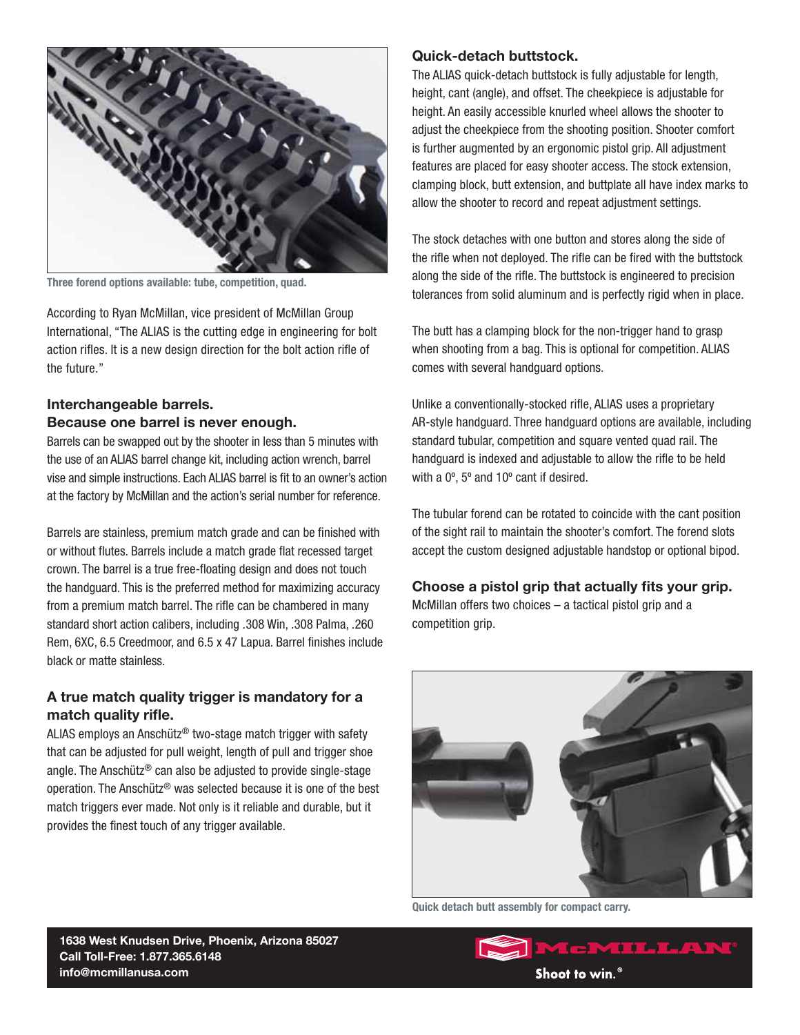

**Three forend options available: tube, competition, quad.**

According to Ryan McMillan, vice president of McMillan Group International, "The ALIAS is the cutting edge in engineering for bolt action rifles. It is a new design direction for the bolt action rifle of the future."

#### **Interchangeable barrels. Because one barrel is never enough.**

Barrels can be swapped out by the shooter in less than 5 minutes with the use of an ALIAS barrel change kit, including action wrench, barrel vise and simple instructions. Each ALIAS barrel is fit to an owner's action at the factory by McMillan and the action's serial number for reference.

Barrels are stainless, premium match grade and can be finished with or without flutes. Barrels include a match grade flat recessed target crown. The barrel is a true free-floating design and does not touch the handguard. This is the preferred method for maximizing accuracy from a premium match barrel. The rifle can be chambered in many standard short action calibers, including .308 Win, .308 Palma, .260 Rem, 6XC, 6.5 Creedmoor, and 6.5 x 47 Lapua. Barrel finishes include black or matte stainless.

## **A true match quality trigger is mandatory for a match quality rifle.**

ALIAS employs an Anschütz® two-stage match trigger with safety that can be adjusted for pull weight, length of pull and trigger shoe angle. The Anschütz® can also be adjusted to provide single-stage operation. The Anschütz® was selected because it is one of the best match triggers ever made. Not only is it reliable and durable, but it provides the finest touch of any trigger available.

#### **Quick-detach buttstock.**

The ALIAS quick-detach buttstock is fully adjustable for length, height, cant (angle), and offset. The cheekpiece is adjustable for height. An easily accessible knurled wheel allows the shooter to adjust the cheekpiece from the shooting position. Shooter comfort is further augmented by an ergonomic pistol grip. All adjustment features are placed for easy shooter access. The stock extension, clamping block, butt extension, and buttplate all have index marks to allow the shooter to record and repeat adjustment settings.

The stock detaches with one button and stores along the side of the rifle when not deployed. The rifle can be fired with the buttstock along the side of the rifle. The buttstock is engineered to precision tolerances from solid aluminum and is perfectly rigid when in place.

The butt has a clamping block for the non-trigger hand to grasp when shooting from a bag. This is optional for competition. ALIAS comes with several handguard options.

Unlike a conventionally-stocked rifle, ALIAS uses a proprietary AR-style handguard. Three handguard options are available, including standard tubular, competition and square vented quad rail. The handguard is indexed and adjustable to allow the rifle to be held with a 0º, 5º and 10º cant if desired.

The tubular forend can be rotated to coincide with the cant position of the sight rail to maintain the shooter's comfort. The forend slots accept the custom designed adjustable handstop or optional bipod.

**Choose a pistol grip that actually fits your grip.** McMillan offers two choices – a tactical pistol grip and a competition grip.



**Quick detach butt assembly for compact carry.**

**1638 West Knudsen Drive, Phoenix, Arizona 85027 Call Toll-Free: 1.877.365.6148 info@mcmillanusa.com**